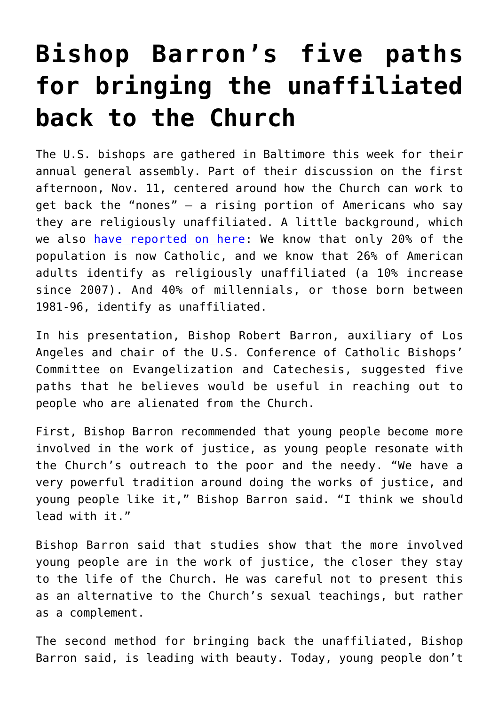## **[Bishop Barron's five paths](https://www.osvnews.com/2019/11/11/bishop-barrons-five-paths-for-bringing-the-unaffiliated-back-to-the-church/) [for bringing the unaffiliated](https://www.osvnews.com/2019/11/11/bishop-barrons-five-paths-for-bringing-the-unaffiliated-back-to-the-church/) [back to the Church](https://www.osvnews.com/2019/11/11/bishop-barrons-five-paths-for-bringing-the-unaffiliated-back-to-the-church/)**

The U.S. bishops are gathered in Baltimore this week for their annual general assembly. Part of their discussion on the first afternoon, Nov. 11, centered around how the Church can work to get back the "nones" — a rising portion of Americans who say they are religiously unaffiliated. A little background, which we also [have reported on here:](https://osvnews.com/2019/06/13/catholic-church-should-focus-on-getting-nones-back-bishop-barron-says/) We know that only 20% of the population is now Catholic, and we know that 26% of American adults identify as religiously unaffiliated (a 10% increase since 2007). And 40% of millennials, or those born between 1981-96, identify as unaffiliated.

In his presentation, Bishop Robert Barron, auxiliary of Los Angeles and chair of the U.S. Conference of Catholic Bishops' Committee on Evangelization and Catechesis, suggested five paths that he believes would be useful in reaching out to people who are alienated from the Church.

First, Bishop Barron recommended that young people become more involved in the work of justice, as young people resonate with the Church's outreach to the poor and the needy. "We have a very powerful tradition around doing the works of justice, and young people like it," Bishop Barron said. "I think we should lead with it."

Bishop Barron said that studies show that the more involved young people are in the work of justice, the closer they stay to the life of the Church. He was careful not to present this as an alternative to the Church's sexual teachings, but rather as a complement.

The second method for bringing back the unaffiliated, Bishop Barron said, is leading with beauty. Today, young people don't